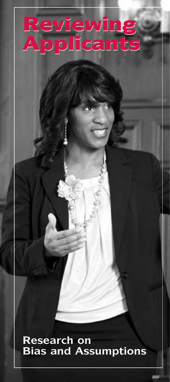# Reviewing Applicants Reviewing

**Research on Bias and Assumptions**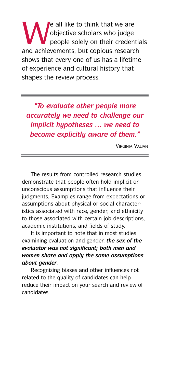We all like to think that we are<br>objective scholars who judge<br>people solely on their credent objective scholars who judge people solely on their credentials and achievements, but copious research shows that every one of us has a lifetime of experience and cultural history that shapes the review process.

*"To evaluate other people more accurately we need to challenge our implicit hypotheses … we need to become explicitly aware of them."*

Virginia Valian

The results from controlled research studies demonstrate that people often hold implicit or unconscious assumptions that influence their judgments. Examples range from expectations or assumptions about physical or social characteristics associated with race, gender, and ethnicity to those associated with certain job descriptions, academic institutions, and fields of study.

It is important to note that in most studies examining evaluation and gender, *the sex of the evaluator was not significant; both men and women share and apply the same assumptions about gender.*

Recognizing biases and other influences not related to the quality of candidates can help reduce their impact on your search and review of candidates.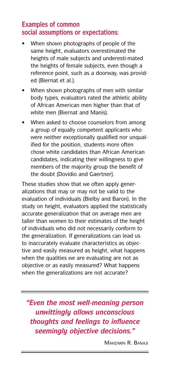#### **Examples of common social assumptions or expectations:**

- When shown photographs of people of the same height, evaluators overestimated the heights of male subjects and underesti-mated the heights of female subjects, even though a reference point, such as a doorway, was provided (Biernat et al.).
- When shown photographs of men with similar body types, evaluators rated the athletic ability of African American men higher than that of white men (Biernat and Manis).
- When asked to choose counselors from among a group of equally competent applicants who were neither exceptionally qualified nor unqualified for the position, students more often chose white candidates than African American candidates, indicating their willingness to give members of the majority group the benefit of the doubt (Dovidio and Gaertner).

These studies show that we often apply generalizations that may or may not be valid to the evaluation of individuals (Bielby and Baron). In the study on height, evaluators applied the statistically accurate generalization that on average men are taller than women to their estimates of the height of individuals who did not necessarily conform to the generalization. If generalizations can lead us to inaccurately evaluate characteristics as objective and easily measured as height, what happens when the qualities we are evaluating are not as objective or as easily measured? What happens when the generalizations are not accurate?

*"Even the most well-meaning person unwittingly allows unconscious thoughts and feelings to influence seemingly objective decisions."*

Mahzarin R. Banaji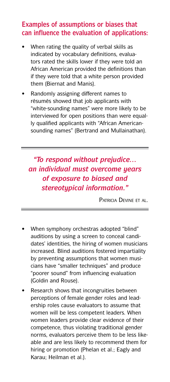### **Examples of assumptions or biases that can influence the evaluation of applications:**

- When rating the quality of verbal skills as indicated by vocabulary definitions, evaluators rated the skills lower if they were told an African American provided the definitions than if they were told that a white person provided them (Biernat and Manis).
- Randomly assigning different names to résumés showed that job applicants with "white-sounding names" were more likely to be interviewed for open positions than were equally qualified applicants with "African Americansounding names" (Bertrand and Mullainathan).

*"To respond without prejudice… an individual must overcome years of exposure to biased and stereotypical information."*

Patricia Devine et al.

- When symphony orchestras adopted "blind" auditions by using a screen to conceal candidates' identities, the hiring of women musicians increased. Blind auditions fostered impartiality by preventing assumptions that women musicians have "smaller techniques" and produce "poorer sound" from influencing evaluation (Goldin and Rouse).
- Research shows that incongruities between perceptions of female gender roles and leadership roles cause evaluators to assume that women will be less competent leaders. When women leaders provide clear evidence of their competence, thus violating traditional gender norms, evaluators perceive them to be less likeable and are less likely to recommend them for hiring or promotion (Phelan et al.; Eagly and Karau; Heilman et al.).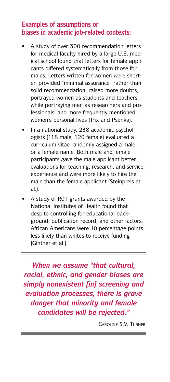#### **Examples of assumptions or biases in academic job-related contexts:**

- A study of over 300 recommendation letters for medical faculty hired by a large U.S. medical school found that letters for female applicants differed systematically from those for males. Letters written for women were shorter, provided "minimal assurance" rather than solid recommendation, raised more doubts, portrayed women as students and teachers while portraying men as researchers and professionals, and more frequently mentioned women's personal lives (Trix and Psenka).
- In a national study, 238 academic psychologists (118 male, 120 female) evaluated a curriculum vitae randomly assigned a male or a female name. Both male and female participants gave the male applicant better evaluations for teaching, research, and service experience and were more likely to hire the male than the female applicant (Steinpreis et al.).
- A study of R01 grants awarded by the National Institutes of Health found that despite controlling for educational background, publication record, and other factors, African Americans were 10 percentage points less likely than whites to receive funding (Ginther et al.).

*When we assume "that cultural, racial, ethnic, and gender biases are simply nonexistent [in] screening and evaluation processes, there is grave danger that minority and female candidates will be rejected."*

Caroline S.V. Turner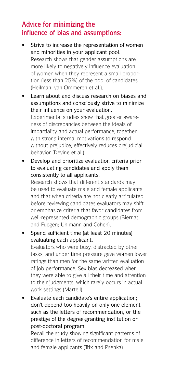## **Advice for minimizing the influence of bias and assumptions:**

- Strive to increase the representation of women and minorities in your applicant pool. Research shows that gender assumptions are more likely to negatively influence evaluation of women when they represent a small proportion (less than 25%) of the pool of candidates (Heilman, van Ommeren et al.).
- Learn about and discuss research on biases and assumptions and consciously strive to minimize their influence on your evaluation. Experimental studies show that greater awareness of discrepancies between the ideals of impartiality and actual performance, together with strong internal motivations to respond without prejudice, effectively reduces prejudicial behavior (Devine et al.).
- Develop and prioritize evaluation criteria prior to evaluating candidates and apply them consistently to all applicants.

Research shows that different standards may be used to evaluate male and female applicants and that when criteria are not clearly articulated before reviewing candidates evaluators may shift or emphasize criteria that favor candidates from well-represented demographic groups (Biernat and Fuegen; Uhlmann and Cohen).

- Spend sufficient time (at least 20 minutes) evaluating each applicant. Evaluators who were busy, distracted by other tasks, and under time pressure gave women lower ratings than men for the same written evaluation of job performance. Sex bias decreased when they were able to give all their time and attention to their judgments, which rarely occurs in actual work settings (Martell).
- Evaluate each candidate's entire application; don't depend too heavily on only one element such as the letters of recommendation, or the prestige of the degree-granting institution or post-doctoral program.

Recall the study showing significant patterns of difference in letters of recommendation for male and female applicants (Trix and Psenka).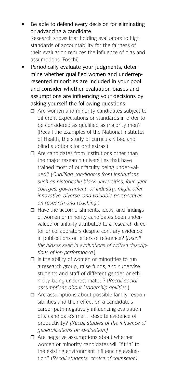- Be able to defend every decision for eliminating or advancing a candidate. Research shows that holding evaluators to high standards of accountability for the fairness of their evaluation reduces the influence of bias and assumptions (Foschi).
- Periodically evaluate your judgments, determine whether qualified women and underrepresented minorities are included in your pool, and consider whether evaluation biases and assumptions are influencing your decisions by asking yourself the following questions:
	- $\Box$  Are women and minority candidates subject to different expectations or standards in order to be considered as qualified as majority men? (Recall the examples of the National Institutes of Health, the study of curricula vitae, and blind auditions for orchestras.)
	- $\Box$  Are candidates from institutions other than the major research universities that have trained most of our faculty being under-valued? (*Qualified candidates from institutions such as historically black universities, four-year colleges, government, or industry, might offer innovative, diverse, and valuable perspectives on research and teaching.*)
	- $\Box$  Have the accomplishments, ideas, and findings of women or minority candidates been undervalued or unfairly attributed to a research director or collaborators despite contrary evidence in publications or letters of reference? (*Recall the biases seen in evaluations of written descriptions of job performance.*)
	- $\Box$  Is the ability of women or minorities to run a research group, raise funds, and supervise students and staff of different gender or ethnicity being underestimated? (*Recall social assumptions about leadership abilities.*)
	- $\Box$  Are assumptions about possible family responsibilities and their effect on a candidate's career path negatively influencing evaluation of a candidate's merit, despite evidence of productivity? *(Recall studies of the influence of generalizations on evaluation.)*
	- $\Box$  Are negative assumptions about whether women or minority candidates will "fit in" to the existing environment influencing evaluation? (*Recall students' choice of counselor.)*